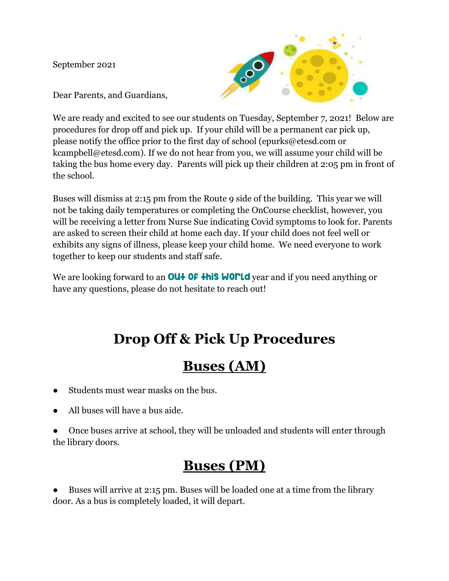September 2021



Dear Parents, and Guardians,

We are ready and excited to see our students on Tuesday, September 7, 2021! Below are procedures for drop off and pick up. If your child will be a permanent car pick up, please notify the office prior to the first day of school (epurks@etesd.com or kcampbell@etesd.com). If we do not hear from you, we will assume your child will be taking the bus home every day. Parents will pick up their children at 2:05 pm in front of the school.

Buses will dismiss at 2:15 pm from the Route 9 side of the building. This year we will not be taking daily temperatures or completing the OnCourse checklist, however, you will be receiving a letter from Nurse Sue indicating Covid symptoms to look for. Parents are asked to screen their child at home each day. If your child does not feel well or exhibits any signs of illness, please keep your child home. We need everyone to work together to keep our students and staff safe.

We are looking forward to an **OU+ OF this WOML** year and if you need anything or have any questions, please do not hesitate to reach out!

# **Drop Off & Pick Up Procedures**

### **Buses (AM)**

- Students must wear masks on the bus.
- All buses will have a bus aide.

Once buses arrive at school, they will be unloaded and students will enter through the library doors.

#### **Buses (PM)**

Buses will arrive at 2:15 pm. Buses will be loaded one at a time from the library door. As a bus is completely loaded, it will depart.